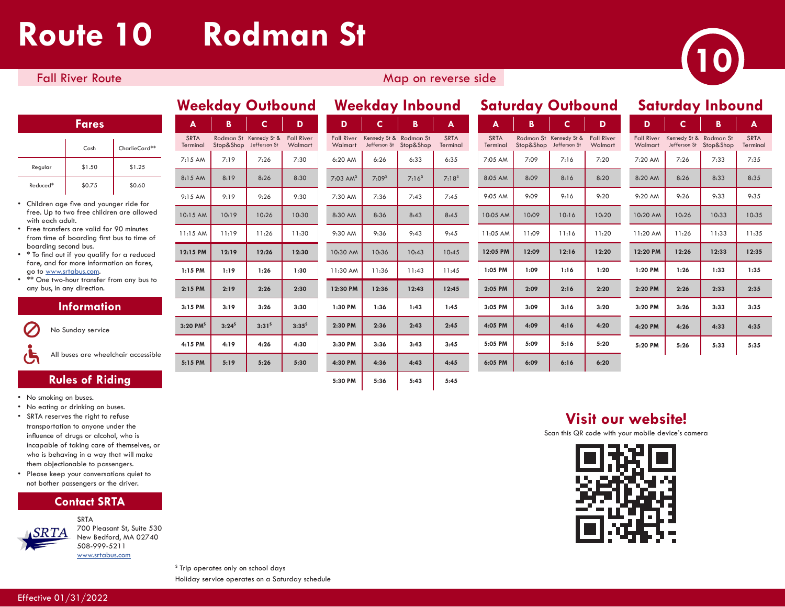## **Route 10 Rodman St**



### Fall River Route Map on reverse side Map on reverse side

#### **Fares**

|          | Cash   | CharlieCard** |
|----------|--------|---------------|
| Regular  | \$1.50 | \$1.25        |
| Reduced* | \$0.75 | \$0.60        |

- Children age five and younger ride for free. Up to two free children are allowed with each adult.
- Free transfers are valid for 90 minutes from time of boarding first bus to time of boarding second bus.
- \* To find out if you qualify for a reduced fare, and for more information on fares, go to www.srtabus.com.
- \*\* One two-hour transfer from any bus to any bus, in any direction.

#### **Information**

No Sunday service

All buses are wheelchair accessible

### **Rules of Riding**

- No smoking on buses.
- No eating or drinking on buses.
- SRTA reserves the right to refuse transportation to anyone under the influence of drugs or alcohol, who is incapable of taking care of themselves, or who is behaving in a way that will make them objectionable to passengers.
- Please keep your conversations quiet to not bother passengers or the driver.





SRTA 700 Pleasant St, Suite 530 New Bedford, MA 02740 508-999-5211 www.srtabus.com

| <b>MEEUMAA ANDANIA</b>  |            |                                        |                              |                              |                              | <b>MCCVAMA IIINANIM</b> |                         |                         | <b>SUIVINGY OUINCUIN</b> |                                        |                              |                              |                                        | <b>JUIVIUU Y IIINVUIN</b> |                     |
|-------------------------|------------|----------------------------------------|------------------------------|------------------------------|------------------------------|-------------------------|-------------------------|-------------------------|--------------------------|----------------------------------------|------------------------------|------------------------------|----------------------------------------|---------------------------|---------------------|
| $\mathbf{A}$            | B          | C.                                     | D                            | D                            | C.                           | B                       | A                       | A                       | B                        | $\mathsf{C}$                           | D                            | D                            | C.                                     | B                         | A                   |
| <b>SRTA</b><br>Terminal | Stop&Shop  | Rodman St Kennedy St &<br>Jefferson St | <b>Fall River</b><br>Walmart | <b>Fall River</b><br>Walmart | Kennedy St &<br>Jefferson St | Rodman St<br>Stop&Shop  | <b>SRTA</b><br>Terminal | <b>SRTA</b><br>Terminal | Stop&Shop                | Rodman St Kennedy St &<br>Jefferson St | <b>Fall River</b><br>Walmart | <b>Fall River</b><br>Walmart | Kennedy St & Rodman St<br>Jefferson St | Stop&Shop                 | <b>SRT</b><br>Termi |
| 7:15 AM                 | 7:19       | 7:26                                   | 7:30                         | 6:20 AM                      | 6:26                         | 6:33                    | 6:35                    | 7:05 AM                 | 7:09                     | 7:16                                   | 7:20                         | 7:20 AM                      | 7:26                                   | 7:33                      | 7:3                 |
| 8:15 AM                 | 8:19       | 8:26                                   | 8:30                         | $7:03$ AM <sup>S</sup>       | $7:09^s$                     | $7:16^{5}$              | $7:18^{5}$              | 8:05 AM                 | 8:09                     | 8:16                                   | 8:20                         | 8:20 AM                      | 8:26                                   | 8:33                      | 8:3                 |
| 9:15 AM                 | 9:19       | 9:26                                   | 9:30                         | 7:30 AM                      | 7:36                         | 7:43                    | 7:45                    | 9:05 AM                 | 9:09                     | 9:16                                   | 9:20                         | 9:20 AM                      | 9:26                                   | 9:33                      | 9:3                 |
| 10:15 AM                | 10:19      | 10:26                                  | 10:30                        | 8:30 AM                      | 8:36                         | 8:43                    | 8:45                    | 10:05 AM                | 10:09                    | 10:16                                  | 10:20                        | 10:20 AM                     | 10:26                                  | 10:33                     | 10:3                |
| 11:15 AM                | 11:19      | 11:26                                  | 11:30                        | 9:30 AM                      | 9:36                         | 9:43                    | 9:45                    | 11:05 AM                | 11:09                    | 11:16                                  | 11:20                        | 11:20 AM                     | 11:26                                  | 11:33                     | 11:3                |
| 12:15 PM                | 12:19      | 12:26                                  | 12:30                        | 10:30 AM                     | 10:36                        | 10:43                   | 10:45                   | 12:05 PM                | 12:09                    | 12:16                                  | 12:20                        | 12:20 PM                     | 12:26                                  | 12:33                     | 12:3                |
| $1:15$ PM               | 1:19       | 1:26                                   | 1:30                         | 11:30 AM                     | 11:36                        | 11:43                   | 11:45                   | 1:05 PM                 | 1:09                     | 1:16                                   | 1:20                         | 1:20 PM                      | 1:26                                   | 1:33                      | 1:3                 |
| $2:15$ PM               | 2:19       | 2:26                                   | 2:30                         | 12:30 PM                     | 12:36                        | 12:43                   | 12:45                   | 2:05 PM                 | 2:09                     | 2:16                                   | 2:20                         | 2:20 PM                      | 2:26                                   | 2:33                      | 2:3                 |
| $3:15$ PM               | 3:19       | 3:26                                   | 3:30                         | 1:30 PM                      | 1:36                         | 1:43                    | 1:45                    | 3:05 PM                 | 3:09                     | 3:16                                   | 3:20                         | 3:20 PM                      | 3:26                                   | 3:33                      | 3:3                 |
| $3:20$ PM <sup>S</sup>  | $3:24^{5}$ | $3:31^{5}$                             | $3:35^{5}$                   | 2:30 PM                      | 2:36                         | 2:43                    | 2:45                    | 4:05 PM                 | 4:09                     | 4:16                                   | 4:20                         | 4:20 PM                      | 4:26                                   | 4:33                      | 4:3                 |
| 4:15 PM                 | 4:19       | 4:26                                   | 4:30                         | 3:30 PM                      | 3:36                         | 3:43                    | 3:45                    | 5:05 PM                 | 5:09                     | 5:16                                   | 5:20                         | 5:20 PM                      | 5:26                                   | 5:33                      | 5:3                 |
| 5:15 PM                 | 5:19       | 5:26                                   | 5:30                         | 4:30 PM                      | 4:36                         | 4:43                    | 4:45                    | 6:05 PM                 | 6:09                     | 6:16                                   | 6:20                         |                              |                                        |                           |                     |
|                         |            |                                        |                              |                              |                              |                         |                         |                         |                          |                                        |                              |                              |                                        |                           |                     |

| D                            | C.                           | В                      | A                       | A                      |
|------------------------------|------------------------------|------------------------|-------------------------|------------------------|
| <b>Fall River</b><br>Walmart | Kennedy St &<br>Jefferson St | Rodman St<br>Stop&Shop | <b>SRTA</b><br>Terminal | <b>SRTA</b><br>Termina |
| 6:20 AM                      | 6:26                         | 6:33                   | 6:35                    | 7:05 AM                |
| $7:03$ AM <sup>S</sup>       | $7:09^s$                     | $7:16^{5}$             | $7:18^{5}$              | 8:05 AM                |
| 7:30 AM                      | 7:36                         | 7:43                   | 7:45                    | $9:05$ AM              |
| 8:30 AM                      | 8:36                         | 8:43                   | 8:45                    | 10:05 A                |
| 9:30 AM                      | 9:36                         | 9:43                   | 9:45                    | 11:05 A                |
| 10:30 AM                     | 10:36                        | 10:43                  | 10:45                   | 12:05 PI               |
| 11:30 AM                     | 11:36                        | 11:43                  | 11:45                   | $1:05$ PN              |
| 12:30 PM                     | 12:36                        | 12:43                  | 12:45                   | 2:05 PM                |
| 1:30 PM                      | 1:36                         | 1:43                   | 1:45                    | 3:05 PM                |
| 2:30 PM                      | 2:36                         | 2:43                   | 2:45                    | 4:05 PM                |
| 3:30 PM                      | 3:36                         | 3:43                   | 3:45                    | 5:05 PM                |
| 4:30 PM                      | 4:36                         | 4:43                   | 4:45                    | 6:05 PM                |
| 5:30 PM                      | 5:36                         | 5:43                   | 5:45                    |                        |

|                         |           | <b>Weekday Outbound</b>                |                              |                              |                              | <b>Weekday Inbound</b> |                         | <b>Saturday Outbound</b> |           |                                        | <b>Saturday Inbound</b>      |                              |       |                                                  |                        |
|-------------------------|-----------|----------------------------------------|------------------------------|------------------------------|------------------------------|------------------------|-------------------------|--------------------------|-----------|----------------------------------------|------------------------------|------------------------------|-------|--------------------------------------------------|------------------------|
| A                       | B         | C.                                     | D                            | D                            | C.                           | B                      | A                       | A                        | B         | C.                                     | D                            | D                            | C.    | B                                                | A                      |
| <b>SRTA</b><br>Terminal | Stop&Shop | Rodman St Kennedy St &<br>Jefferson St | <b>Fall River</b><br>Walmart | <b>Fall River</b><br>Walmart | Kennedy St &<br>Jefferson St | Rodman St<br>Stop&Shop | <b>SRTA</b><br>Terminal | <b>SRTA</b><br>Terminal  | Stop&Shop | Rodman St Kennedy St &<br>Jefferson St | <b>Fall River</b><br>Walmart | <b>Fall River</b><br>Walmart |       | Kennedy St & Rodman St<br>Jefferson St Stop&Shop | <b>SRTA</b><br>Termina |
| 7:15AM                  | 7:19      | 7:26                                   | 7:30                         | 6:20 AM                      | 6:26                         | 6:33                   | 6:35                    | 7:05 AM                  | 7:09      | 7:16                                   | 7:20                         | 7:20 AM                      | 7:26  | 7:33                                             | 7:35                   |
| 8:15 AM                 | 8:19      | 8:26                                   | 8:30                         | $7:03$ AM <sup>S</sup>       | 7:09 <sup>5</sup>            | $7:16^{5}$             | $7:18^{5}$              | 8:05 AM                  | 8:09      | 8:16                                   | 8:20                         | 8:20 AM                      | 8:26  | 8:33                                             | 8:35                   |
| 9:15AM                  | 9:19      | 9:26                                   | 9:30                         | 7:30 AM                      | 7:36                         | 7:43                   | 7:45                    | 9:05 AM                  | 9:09      | 9:16                                   | 9:20                         | 9:20 AM                      | 9:26  | 9:33                                             | 9:35                   |
| 10:15 AM                | 10:19     | 10:26                                  | 10:30                        | 8:30 AM                      | 8:36                         | 8:43                   | 8:45                    | 10:05 AM                 | 10:09     | 10:16                                  | 10:20                        | 10:20 AM                     | 10:26 | 10:33                                            | 10:35                  |
| 11:15AM                 | 11:19     | 11:26                                  | 11:30                        | 9:30 AM                      | 9:36                         | 9:43                   | 9:45                    | 11:05 AM                 | 11:09     | 11:16                                  | 11:20                        | 11:20 AM                     | 11:26 | 11:33                                            | 11:35                  |
| 12:15 PM                | 12:19     | 12:26                                  | 12:30                        | 10:30 AM                     | 10:36                        | 10:43                  | 10:45                   | 12:05 PM                 | 12:09     | 12:16                                  | 12:20                        | 12:20 PM                     | 12:26 | 12:33                                            | 12:35                  |
| $1:15$ PM               | 1:19      | 1:26                                   | 1:30                         | 11:30 AM                     | 11:36                        | 11:43                  | 11:45                   | 1:05 PM                  | 1:09      | 1:16                                   | 1:20                         | 1:20 PM                      | 1:26  | 1:33                                             | 1:35                   |
| $2:15$ PM               | 2:19      | 2:26                                   | 2:30                         | 12:30 PM                     | 12:36                        | 12:43                  | 12:45                   | 2:05 PM                  | 2:09      | 2:16                                   | 2:20                         | 2:20 PM                      | 2:26  | 2:33                                             | 2:35                   |
| 3:15 PM                 | 3:19      | 3:26                                   | 3:30                         | 1:30 PM                      | 1:36                         | 1:43                   | 1:45                    | 3:05 PM                  | 3:09      | 3:16                                   | 3:20                         | 3:20 PM                      | 3:26  | 3:33                                             | 3:35                   |
| $3:20$ PM <sup>S</sup>  | $3:24^5$  | $3:31^{5}$                             | $3:35^{5}$                   | 2:30 PM                      | 2:36                         | 2:43                   | 2:45                    | 4:05 PM                  | 4:09      | 4:16                                   | 4:20                         | 4:20 PM                      | 4:26  | 4:33                                             | 4:35                   |
| 4:15 PM                 | 4:19      | 4:26                                   | 4:30                         | 3:30 PM                      | 3:36                         | 3:43                   | 3:45                    | 5:05 PM                  | 5:09      | 5:16                                   | 5:20                         | 5:20 PM                      | 5:26  | 5:33                                             | 5:35                   |
| 5:15 PM                 | 5:19      | 5:26                                   | 5:30                         | 4:30 PM                      | 4:36                         | 4:43                   | 4:45                    | 6:05 PM                  | 6:09      | 6:16                                   | 6:20                         |                              |       |                                                  |                        |

| D                            | С                            | в                      | А                       |
|------------------------------|------------------------------|------------------------|-------------------------|
| <b>Fall River</b><br>Walmart | Kennedy St &<br>Jefferson St | Rodman St<br>Stop&Shop | <b>SRTA</b><br>Terminal |
| 7:20 AM                      | 7:26                         | 7:33                   | 7:35                    |
| 8:20 AM                      | 8:26                         | 8:33                   | 8:35                    |
| $9:20$ AM                    | 9:26                         | 9:33                   | 9:35                    |
| 10:20 AM                     | 10:26                        | 10:33                  | 10:35                   |
| 11:20 AM                     | 11:26                        | 11:33                  | 11:35                   |
| 12:20 PM                     | 12:26                        | 12:33                  | 12:35                   |
| 1:20 PM                      | 1:26                         | 1:33                   | 1:35                    |
| 2:20 PM                      | 2:26                         | 2:33                   | 2:35                    |
| 3:20 PM                      | 3:26                         | 3:33                   | 3:35                    |
|                              |                              |                        |                         |
| 4:20 PM                      | 4:26                         | 4:33                   | 4:35                    |
| 5:20 PM                      | 5:26                         | 5:33                   | 5:35                    |

## **Visit our website!**

Scan this QR code with your mobile device's camera



<sup>s</sup> Trip operates only on school days Holiday service operates on a Saturday schedule